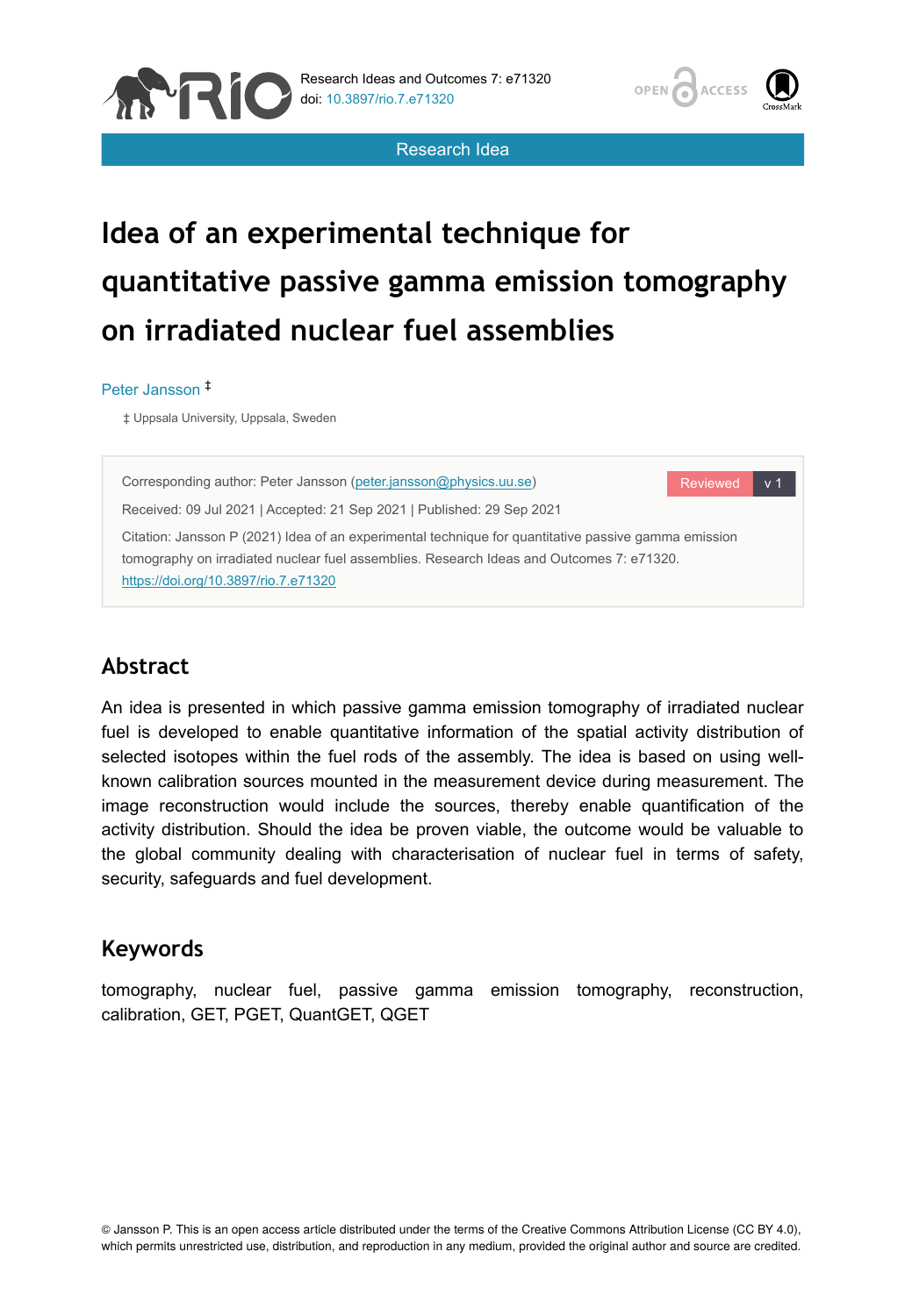

Research Idea



# **Idea of an experimental technique for quantitative passive gamma emission tomography on irradiated nuclear fuel assemblies**

#### Peter Jansson ‡

‡ Uppsala University, Uppsala, Sweden



# **Abstract**

An idea is presented in which passive gamma emission tomography of irradiated nuclear fuel is developed to enable quantitative information of the spatial activity distribution of selected isotopes within the fuel rods of the assembly. The idea is based on using wellknown calibration sources mounted in the measurement device during measurement. The image reconstruction would include the sources, thereby enable quantification of the activity distribution. Should the idea be proven viable, the outcome would be valuable to the global community dealing with characterisation of nuclear fuel in terms of safety, security, safeguards and fuel development.

#### **Keywords**

tomography, nuclear fuel, passive gamma emission tomography, reconstruction, calibration, GET, PGET, QuantGET, QGET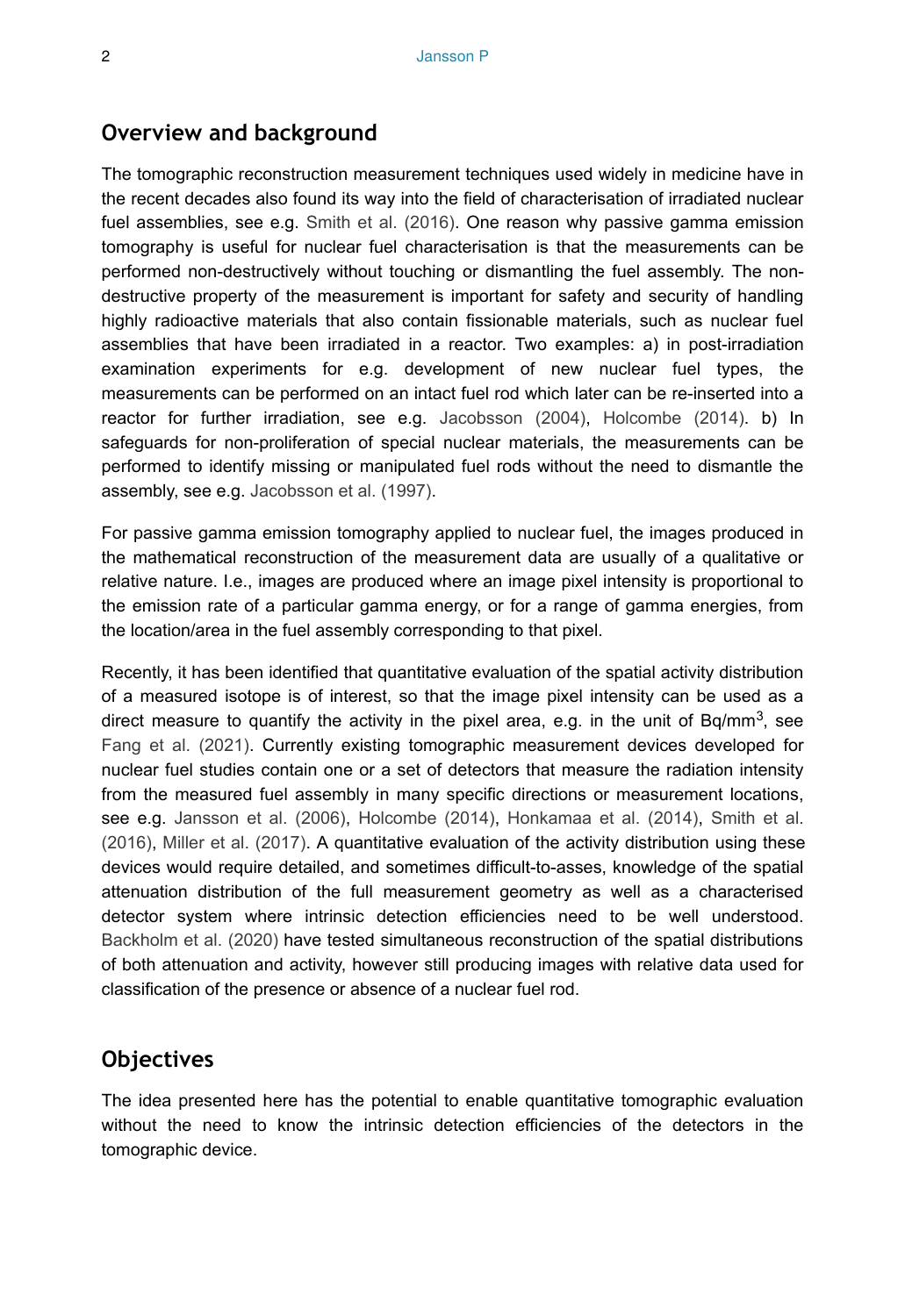### **Overview and background**

The tomographic reconstruction measurement techniques used widely in medicine have in the recent decades also found its way into the field of characterisation of irradiated nuclear fuel assemblies, see e.g. [Smith et al. \(2016\).](#page-3-0) One reason why passive gamma emission tomography is useful for nuclear fuel characterisation is that the measurements can be performed non-destructively without touching or dismantling the fuel assembly. The nondestructive property of the measurement is important for safety and security of handling highly radioactive materials that also contain fissionable materials, such as nuclear fuel assemblies that have been irradiated in a reactor. Two examples: a) in post-irradiation examination experiments for e.g. development of new nuclear fuel types, the measurements can be performed on an intact fuel rod which later can be re-inserted into a reactor for further irradiation, see e.g. [Jacobsson \(2004\),](#page-3-1) [Holcombe \(2014\)](#page-3-2). b) In safeguards for non-proliferation of special nuclear materials, the measurements can be performed to identify missing or manipulated fuel rods without the need to dismantle the assembly, see e.g. [Jacobsson et al. \(1997\).](#page-3-3)

For passive gamma emission tomography applied to nuclear fuel, the images produced in the mathematical reconstruction of the measurement data are usually of a qualitative or relative nature. I.e., images are produced where an image pixel intensity is proportional to the emission rate of a particular gamma energy, or for a range of gamma energies, from the location/area in the fuel assembly corresponding to that pixel.

Recently, it has been identified that quantitative evaluation of the spatial activity distribution of a measured isotope is of interest, so that the image pixel intensity can be used as a direct measure to quantify the activity in the pixel area, e.g. in the unit of Bq/mm<sup>3</sup>, see [Fang et al. \(2021\).](#page-3-4) Currently existing tomographic measurement devices developed for nuclear fuel studies contain one or a set of detectors that measure the radiation intensity from the measured fuel assembly in many specific directions or measurement locations, see e.g. [Jansson et al. \(2006\),](#page-3-5) [Holcombe \(2014\),](#page-3-2) [Honkamaa et al. \(2014\),](#page-3-6) [Smith et al.](#page-3-0) [\(2016\)](#page-3-0), [Miller et al. \(2017\).](#page-3-7) A quantitative evaluation of the activity distribution using these devices would require detailed, and sometimes difficult-to-asses, knowledge of the spatial attenuation distribution of the full measurement geometry as well as a characterised detector system where intrinsic detection efficiencies need to be well understood. [Backholm et al. \(2020\)](#page-3-8) have tested simultaneous reconstruction of the spatial distributions of both attenuation and activity, however still producing images with relative data used for classification of the presence or absence of a nuclear fuel rod.

## **Objectives**

The idea presented here has the potential to enable quantitative tomographic evaluation without the need to know the intrinsic detection efficiencies of the detectors in the tomographic device.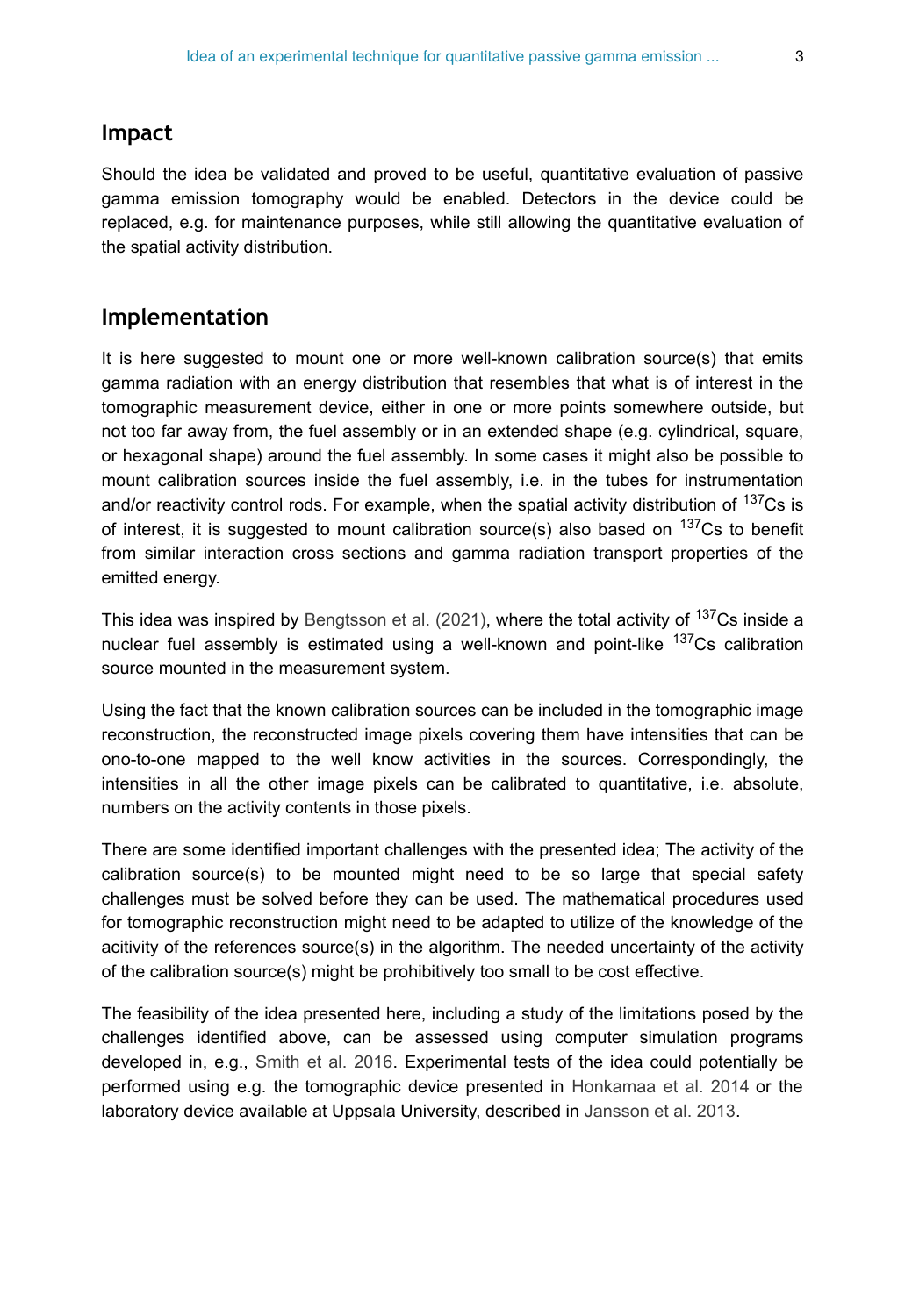#### **Impact**

Should the idea be validated and proved to be useful, quantitative evaluation of passive gamma emission tomography would be enabled. Detectors in the device could be replaced, e.g. for maintenance purposes, while still allowing the quantitative evaluation of the spatial activity distribution.

#### **Implementation**

It is here suggested to mount one or more well-known calibration source(s) that emits gamma radiation with an energy distribution that resembles that what is of interest in the tomographic measurement device, either in one or more points somewhere outside, but not too far away from, the fuel assembly or in an extended shape (e.g. cylindrical, square, or hexagonal shape) around the fuel assembly. In some cases it might also be possible to mount calibration sources inside the fuel assembly, i.e. in the tubes for instrumentation and/or reactivity control rods. For example, when the spatial activity distribution of  $137Cs$  is of interest, it is suggested to mount calibration source(s) also based on  $137Cs$  to benefit from similar interaction cross sections and gamma radiation transport properties of the emitted energy.

This idea was inspired by [Bengtsson et al. \(2021\),](#page-3-9) where the total activity of <sup>137</sup>Cs inside a nuclear fuel assembly is estimated using a well-known and point-like  $137Cs$  calibration source mounted in the measurement system.

Using the fact that the known calibration sources can be included in the tomographic image reconstruction, the reconstructed image pixels covering them have intensities that can be ono-to-one mapped to the well know activities in the sources. Correspondingly, the intensities in all the other image pixels can be calibrated to quantitative, i.e. absolute, numbers on the activity contents in those pixels.

There are some identified important challenges with the presented idea; The activity of the calibration source(s) to be mounted might need to be so large that special safety challenges must be solved before they can be used. The mathematical procedures used for tomographic reconstruction might need to be adapted to utilize of the knowledge of the acitivity of the references source(s) in the algorithm. The needed uncertainty of the activity of the calibration source(s) might be prohibitively too small to be cost effective.

The feasibility of the idea presented here, including a study of the limitations posed by the challenges identified above, can be assessed using computer simulation programs developed in, e.g., [Smith et al. 2016.](#page-3-0) Experimental tests of the idea could potentially be performed using e.g. the tomographic device presented in [Honkamaa et al. 2014](#page-3-6) or the laboratory device available at Uppsala University, described in [Jansson et al. 2013.](#page-3-10)